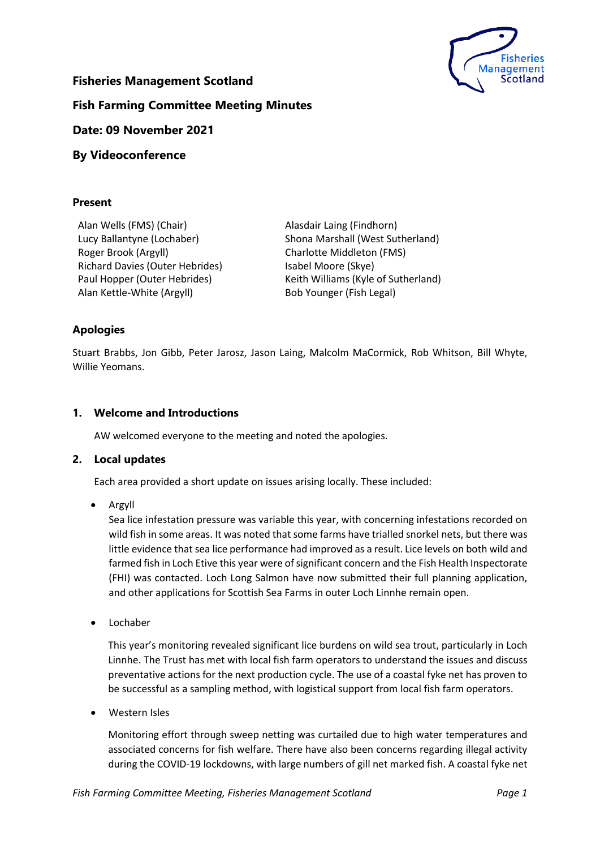

# **Fisheries Management Scotland**

**Fish Farming Committee Meeting Minutes**

# **Date: 09 November 2021**

# **By Videoconference**

## **Present**

Alan Wells (FMS) (Chair) Alasdair Laing (Findhorn) Roger Brook (Argyll) Richard Davies (Outer Hebrides) Alan Kettle-White (Argyll) Bob Younger (Fish Legal)

Lucy Ballantyne (Lochaber) Shona Marshall (West Sutherland) Charlotte Middleton (FMS) Isabel Moore (Skye) Paul Hopper (Outer Hebrides) Keith Williams (Kyle of Sutherland)

# **Apologies**

Stuart Brabbs, Jon Gibb, Peter Jarosz, Jason Laing, Malcolm MaCormick, Rob Whitson, Bill Whyte, Willie Yeomans.

# **1. Welcome and Introductions**

AW welcomed everyone to the meeting and noted the apologies.

### **2. Local updates**

Each area provided a short update on issues arising locally. These included:

• Argyll

Sea lice infestation pressure was variable this year, with concerning infestations recorded on wild fish in some areas. It was noted that some farms have trialled snorkel nets, but there was little evidence that sea lice performance had improved as a result. Lice levels on both wild and farmed fish in Loch Etive this year were of significant concern and the Fish Health Inspectorate (FHI) was contacted. Loch Long Salmon have now submitted their full planning application, and other applications for Scottish Sea Farms in outer Loch Linnhe remain open.

• Lochaber

This year's monitoring revealed significant lice burdens on wild sea trout, particularly in Loch Linnhe. The Trust has met with local fish farm operators to understand the issues and discuss preventative actions for the next production cycle. The use of a coastal fyke net has proven to be successful as a sampling method, with logistical support from local fish farm operators.

• Western Isles

Monitoring effort through sweep netting was curtailed due to high water temperatures and associated concerns for fish welfare. There have also been concerns regarding illegal activity during the COVID-19 lockdowns, with large numbers of gill net marked fish. A coastal fyke net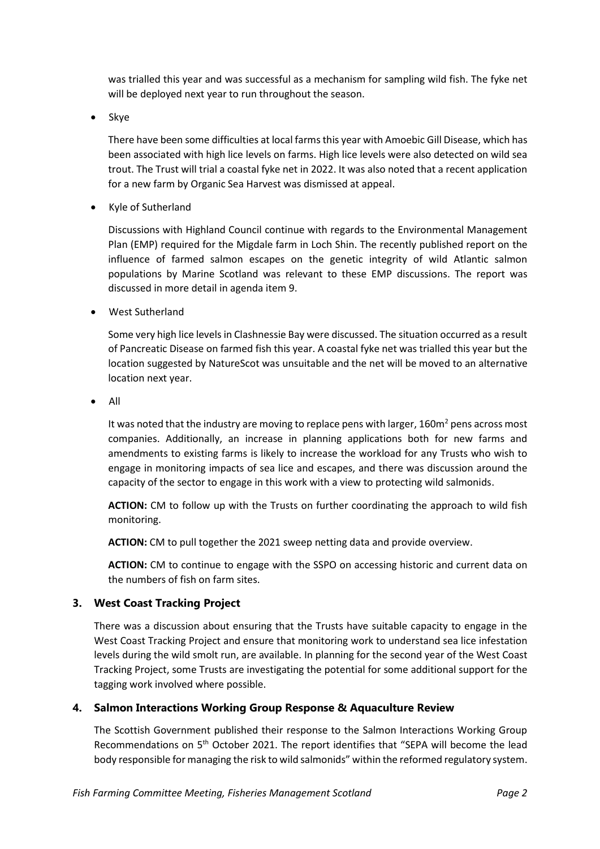was trialled this year and was successful as a mechanism for sampling wild fish. The fyke net will be deployed next year to run throughout the season.

• Skye

There have been some difficulties at local farms this year with Amoebic Gill Disease, which has been associated with high lice levels on farms. High lice levels were also detected on wild sea trout. The Trust will trial a coastal fyke net in 2022. It was also noted that a recent application for a new farm by Organic Sea Harvest was dismissed at appeal.

• Kyle of Sutherland

Discussions with Highland Council continue with regards to the Environmental Management Plan (EMP) required for the Migdale farm in Loch Shin. The recently published report on the influence of farmed salmon escapes on the genetic integrity of wild Atlantic salmon populations by Marine Scotland was relevant to these EMP discussions. The report was discussed in more detail in agenda item 9.

• West Sutherland

Some very high lice levels in Clashnessie Bay were discussed. The situation occurred as a result of Pancreatic Disease on farmed fish this year. A coastal fyke net was trialled this year but the location suggested by NatureScot was unsuitable and the net will be moved to an alternative location next year.

• All

It was noted that the industry are moving to replace pens with larger, 160m<sup>2</sup> pens across most companies. Additionally, an increase in planning applications both for new farms and amendments to existing farms is likely to increase the workload for any Trusts who wish to engage in monitoring impacts of sea lice and escapes, and there was discussion around the capacity of the sector to engage in this work with a view to protecting wild salmonids.

**ACTION:** CM to follow up with the Trusts on further coordinating the approach to wild fish monitoring.

**ACTION:** CM to pull together the 2021 sweep netting data and provide overview.

**ACTION:** CM to continue to engage with the SSPO on accessing historic and current data on the numbers of fish on farm sites.

# **3. West Coast Tracking Project**

There was a discussion about ensuring that the Trusts have suitable capacity to engage in the West Coast Tracking Project and ensure that monitoring work to understand sea lice infestation levels during the wild smolt run, are available. In planning for the second year of the West Coast Tracking Project, some Trusts are investigating the potential for some additional support for the tagging work involved where possible.

### **4. Salmon Interactions Working Group Response & Aquaculture Review**

The Scottish Government published their response to the Salmon Interactions Working Group Recommendations on 5<sup>th</sup> October 2021. The report identifies that "SEPA will become the lead body responsible for managing the risk to wild salmonids" within the reformed regulatory system.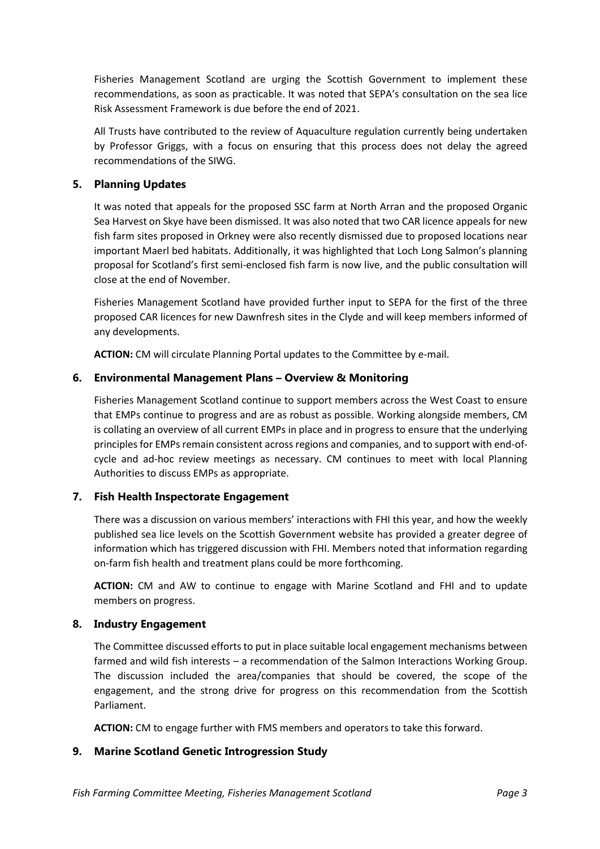Fisheries Management Scotland are urging the Scottish Government to implement these recommendations, as soon as practicable. It was noted that SEPA's consultation on the sea lice Risk Assessment Framework is due before the end of 2021.

All Trusts have contributed to the review of Aquaculture regulation currently being undertaken by Professor Griggs, with a focus on ensuring that this process does not delay the agreed recommendations of the SIWG.

## **5. Planning Updates**

It was noted that appeals for the proposed SSC farm at North Arran and the proposed Organic Sea Harvest on Skye have been dismissed. It was also noted that two CAR licence appeals for new fish farm sites proposed in Orkney were also recently dismissed due to proposed locations near important Maerl bed habitats. Additionally, it was highlighted that Loch Long Salmon's planning proposal for Scotland's first semi-enclosed fish farm is now live, and the public consultation will close at the end of November.

Fisheries Management Scotland have provided further input to SEPA for the first of the three proposed CAR licences for new Dawnfresh sites in the Clyde and will keep members informed of any developments.

**ACTION:** CM will circulate Planning Portal updates to the Committee by e-mail.

## **6. Environmental Management Plans – Overview & Monitoring**

Fisheries Management Scotland continue to support members across the West Coast to ensure that EMPs continue to progress and are as robust as possible. Working alongside members, CM is collating an overview of all current EMPs in place and in progress to ensure that the underlying principles for EMPs remain consistent across regions and companies, and to support with end-ofcycle and ad-hoc review meetings as necessary. CM continues to meet with local Planning Authorities to discuss EMPs as appropriate.

# **7. Fish Health Inspectorate Engagement**

There was a discussion on various members' interactions with FHI this year, and how the weekly published sea lice levels on the Scottish Government website has provided a greater degree of information which has triggered discussion with FHI. Members noted that information regarding on-farm fish health and treatment plans could be more forthcoming.

**ACTION:** CM and AW to continue to engage with Marine Scotland and FHI and to update members on progress.

### **8. Industry Engagement**

The Committee discussed efforts to put in place suitable local engagement mechanisms between farmed and wild fish interests – a recommendation of the Salmon Interactions Working Group. The discussion included the area/companies that should be covered, the scope of the engagement, and the strong drive for progress on this recommendation from the Scottish Parliament.

**ACTION:** CM to engage further with FMS members and operators to take this forward.

# **9. Marine Scotland Genetic Introgression Study**